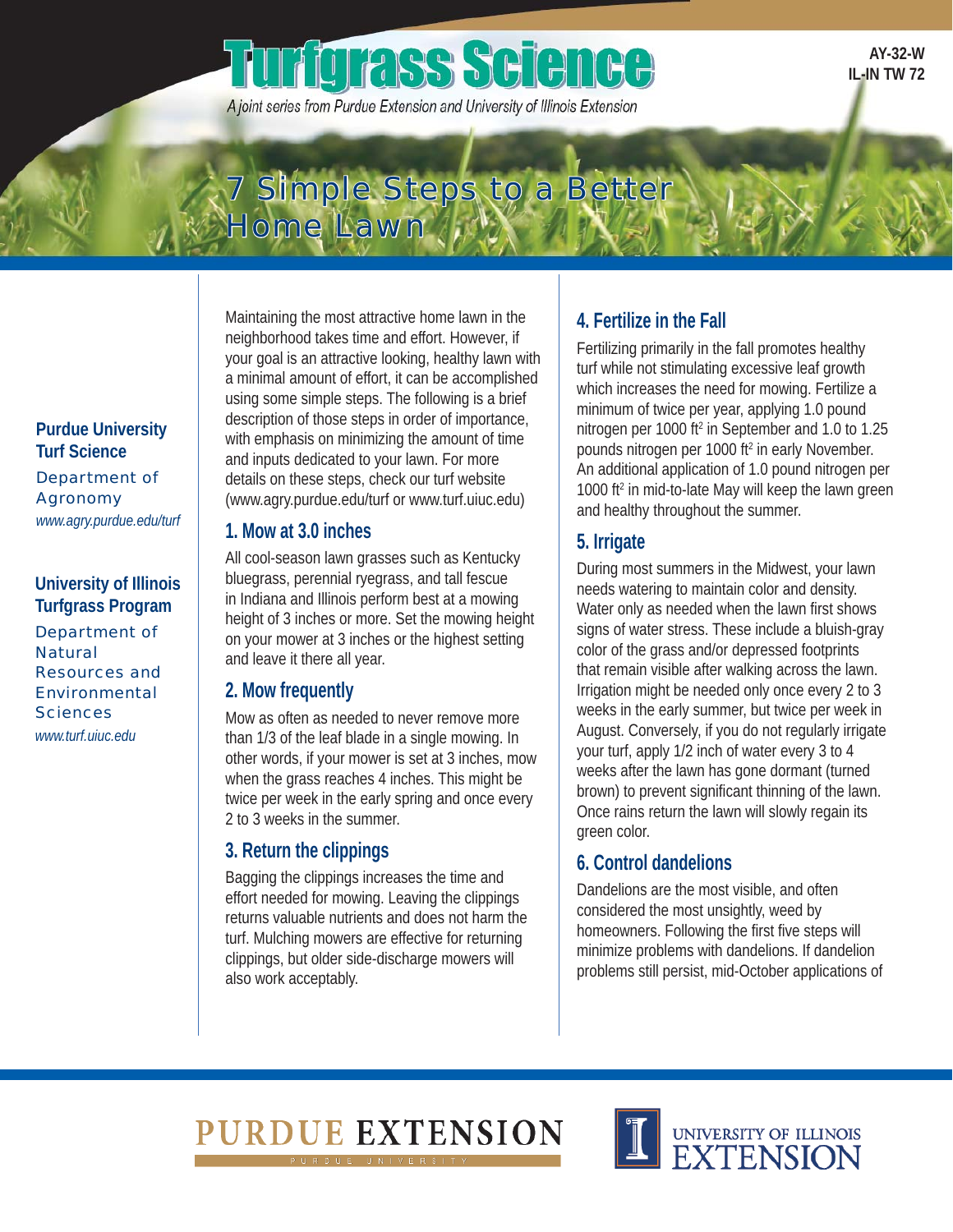# **urfgrass Science**

A joint series from Purdue Extension and University of Illinois Extension

**AY-32-W IL-IN TW 72** 

## 7 Simple Steps to a Better Home Lawn

**Purdue University Turf Science**  Department of Agronomy *www.agry.purdue.edu/turf* 

Department of<br>Natural **University of Illinois Turfgrass Program**  Resources and Environmental **Sciences** *www.turf.uiuc.edu* 

Maintaining the most attractive home lawn in the neighborhood takes time and effort. However, if your goal is an attractive looking, healthy lawn with a minimal amount of effort, it can be accomplished using some simple steps. The following is a brief description of those steps in order of importance, with emphasis on minimizing the amount of time and inputs dedicated to your lawn. For more details on these steps, check our turf website (www.agry.purdue.edu/turf or www.turf.uiuc.edu)

#### **1. Mow at 3.0 inches**

All cool-season lawn grasses such as Kentucky bluegrass, perennial ryegrass, and tall fescue in Indiana and Illinois perform best at a mowing height of 3 inches or more. Set the mowing height on your mower at 3 inches or the highest setting and leave it there all year.

#### **2. Mow frequently**

Mow as often as needed to never remove more than 1/3 of the leaf blade in a single mowing. In other words, if your mower is set at 3 inches, mow when the grass reaches 4 inches. This might be twice per week in the early spring and once every 2 to 3 weeks in the summer.

#### **3. Return the clippings**

Bagging the clippings increases the time and effort needed for mowing. Leaving the clippings returns valuable nutrients and does not harm the turf. Mulching mowers are effective for returning clippings, but older side-discharge mowers will also work acceptably.

### **4. Fertilize in the Fall**

Fertilizing primarily in the fall promotes healthy turf while not stimulating excessive leaf growth which increases the need for mowing. Fertilize a minimum of twice per year, applying 1.0 pound nitrogen per 1000 ft<sup>2</sup> in September and 1.0 to 1.25 pounds nitrogen per 1000 ft<sup>2</sup> in early November. An additional application of 1.0 pound nitrogen per 1000 ft<sup>2</sup> in mid-to-late May will keep the lawn green and healthy throughout the summer.

#### **5. Irrigate**

During most summers in the Midwest, your lawn needs watering to maintain color and density. Water only as needed when the lawn first shows signs of water stress. These include a bluish-gray color of the grass and/or depressed footprints that remain visible after walking across the lawn. Irrigation might be needed only once every 2 to 3 weeks in the early summer, but twice per week in August. Conversely, if you do not regularly irrigate your turf, apply 1/2 inch of water every 3 to 4 weeks after the lawn has gone dormant (turned brown) to prevent significant thinning of the lawn. Once rains return the lawn will slowly regain its green color.

### **6. Control dandelions**

Dandelions are the most visible, and often considered the most unsightly, weed by homeowners. Following the first five steps will minimize problems with dandelions. If dandelion problems still persist, mid-October applications of